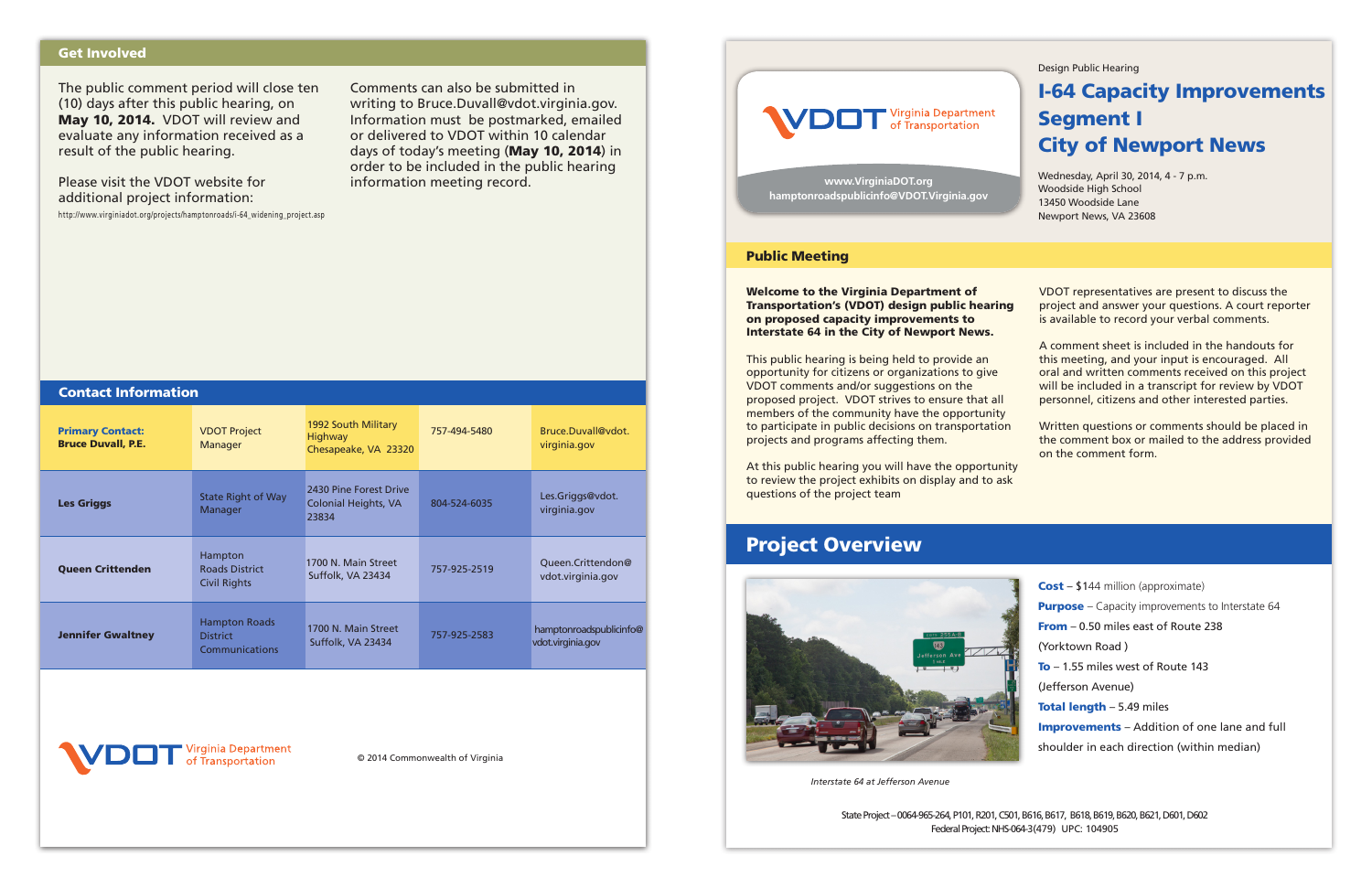*Interstate 64 at Jefferson Avenue* 

#### Design Public Hearing

# I-64 Capacity Improvements Segment I City of Newport News

Wednesday, April 30, 2014, 4 - 7 p.m. Woodside High School 13450 Woodside Lane Newport News, VA 23608

This public hearing is being held to provide an opportunity for citizens or organizations to give VDOT comments and/or suggestions on the proposed project. VDOT strives to ensure that all members of the community have the opportunity to participate in public decisions on transportation projects and programs affecting them.

Welcome to the Virginia Department of Transportation's (VDOT) design public hearing on proposed capacity improvements to Interstate 64 in the City of Newport News. VDOT representatives are present to discuss the project and answer your questions. A court reporter is available to record your verbal comments.

At this public hearing you will have the opportunity to review the project exhibits on display and to ask questions of the project team

A comment sheet is included in the handouts for this meeting, and your input is encouraged. All oral and written comments received on this project will be included in a transcript for review by VDOT personnel, citizens and other interested parties.

Written questions or comments should be placed in the comment box or mailed to the address provided on the comment form.

### Public Meeting

## Project Overview



Cost – \$144 million (approximate) **Purpose** – Capacity improvements to Interstate 64 From – 0.50 miles east of Route 238 (Yorktown Road ) To - 1.55 miles west of Route 143 (Jefferson Avenue) Total length - 5.49 miles Improvements – Addition of one lane and full shoulder in each direction (within median)

State Project – 0064-965-264, P101, R201, C501, B616, B617, B618, B619, B620, B621, D601, D602 Federal Project: NHS-064-3(479) UPC: 104905

**www.VirginiaDOT.org hamptonroadspublicinfo@VDOT.Virginia.gov**

© 2014 Commonwealth of Virginia



The public comment period will close ten (10) days after this public hearing, on May 10, 2014. VDOT will review and evaluate any information received as a result of the public hearing.

Please visit the VDOT website for additional project information:

http://www.virginiadot.org/projects/hamptonroads/i-64\_widening\_project.asp

Comments can also be submitted in writing to Bruce.Duvall@vdot.virginia.gov. Information must be postmarked, emailed or delivered to VDOT within 10 calendar days of today's meeting (May 10, 2014) in order to be included in the public hearing information meeting record.

## Get Involved

| <b>Contact Information</b>                           |                                                           |                                                               |              |                                              |
|------------------------------------------------------|-----------------------------------------------------------|---------------------------------------------------------------|--------------|----------------------------------------------|
| <b>Primary Contact:</b><br><b>Bruce Duvall, P.E.</b> | <b>VDOT Project</b><br>Manager                            | 1992 South Military<br><b>Highway</b><br>Chesapeake, VA 23320 | 757-494-5480 | Bruce.Duvall@vdot.<br>virginia.gov           |
| <b>Les Griggs</b>                                    | <b>State Right of Way</b><br>Manager                      | 2430 Pine Forest Drive<br>Colonial Heights, VA<br>23834       | 804-524-6035 | Les.Griggs@vdot.<br>virginia.gov             |
| <b>Queen Crittenden</b>                              | Hampton<br><b>Roads District</b><br><b>Civil Rights</b>   | 1700 N. Main Street<br>Suffolk, VA 23434                      | 757-925-2519 | Queen.Crittendon@<br>vdot.virginia.gov       |
| <b>Jennifer Gwaltney</b>                             | <b>Hampton Roads</b><br><b>District</b><br>Communications | 1700 N. Main Street<br>Suffolk, VA 23434                      | 757-925-2583 | hamptonroadspublicinfo@<br>vdot.virginia.gov |
|                                                      |                                                           |                                                               |              |                                              |

rginia Department

Transportation